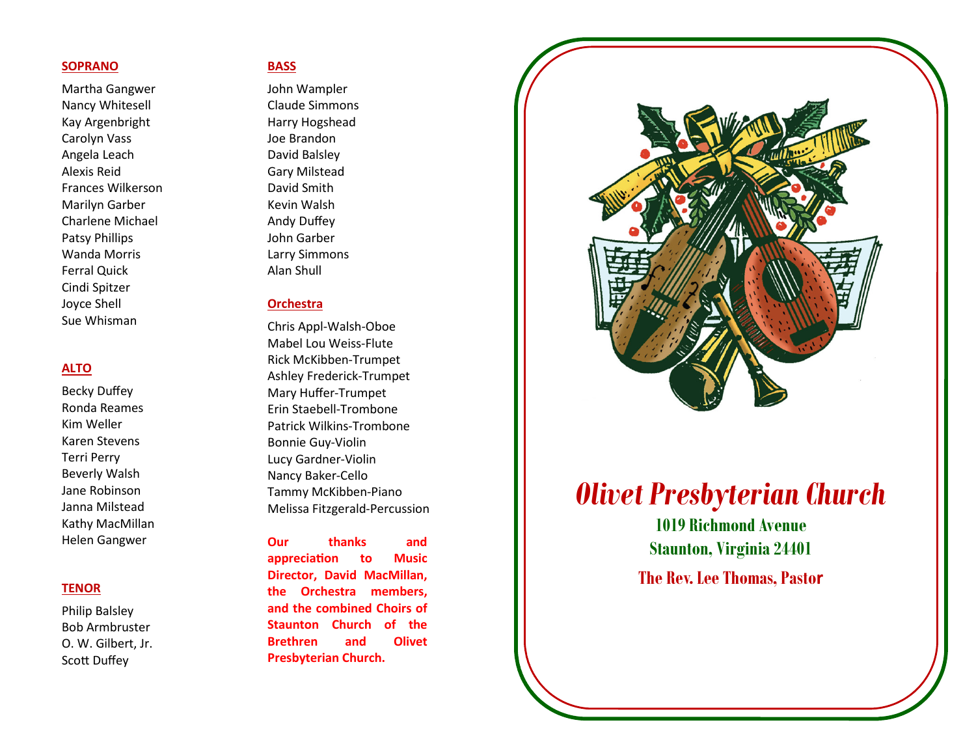# SOPRANO

Martha Gangwer Nancy Whitesell Kay Argenbright Carolyn Vass Angela Leach Alexis Reid Frances Wilkerson Marilyn Garber Charlene Michael Patsy Phillips Wanda Morris Ferral Quick Cindi Spitzer Joyce Shell Sue Whisman

#### ALTO

Becky Duffey Ronda Reames Kim Weller Karen Stevens Terri Perry Beverly Walsh Jane Robinson Janna Milstead Kathy MacMillan Helen Gangwer

#### **TENOR**

Philip Balsley Bob Armbruster O. W. Gilbert, Jr. Scott Duffey

#### **BASS**

John Wampler Claude Simmons Harry Hogshead Joe Brandon David Balsley Gary Milstead David Smith Kevin Walsh Andy Duffey John Garber Larry Simmons Alan Shull

# **Orchestra**

Chris Appl-Walsh-Oboe Mabel Lou Weiss-Flute Rick McKibben-Trumpet Ashley Frederick-Trumpet Mary Huffer-Trumpet Erin Staebell-Trombone Patrick Wilkins-Trombone Bonnie Guy-Violin Lucy Gardner-Violin Nancy Baker-Cello Tammy McKibben-Piano Melissa Fitzgerald-Percussion

Our thanks and appreciation to Music Director, David MacMillan, the Orchestra members, and the combined Choirs of Staunton Church of the Brethren and Olivet Presbyterian Church.



# Olivet Presbyterian Church

1019 Richmond Avenue Staunton, Virginia 24401

The Rev. Lee Thomas, Pastor